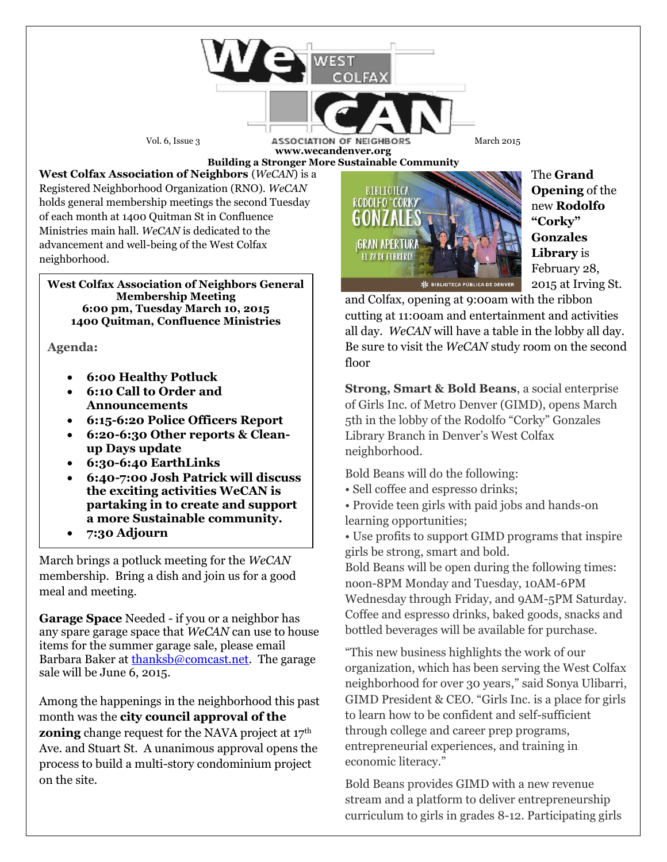Vol. 6, Issue 3 **ASSOCIATION OF NEIGHBORS** March 2015 **www.wecandenver.org** 

**West Colfax Association of Neighbors** (*WeCAN*) is a Registered Neighborhood Organization (RNO). *WeCAN*  holds general membership meetings the second Tuesday of each month at 1400 Quitman St in Confluence Ministries main hall. *WeCAN* is dedicated to the advancement and well-being of the West Colfax neighborhood.

**West Colfax Association of Neighbors General Membership Meeting 6:00 pm, Tuesday March 10, 2015 1400 Quitman, Confluence Ministries** 

**Agenda:**

- **6:00 Healthy Potluck**
- **6:10 Call to Order and Announcements**
- **6:15-6:20 Police Officers Report**
- **6:20-6:30 Other reports & Cleanup Days update**
- **6:30-6:40 EarthLinks**
- **6:40-7:00 Josh Patrick will discuss the exciting activities WeCAN is partaking in to create and support a more Sustainable community.**
- **7:30 Adjourn**

March brings a potluck meeting for the *WeCAN* membership. Bring a dish and join us for a good meal and meeting.

**Garage Space** Needed - if you or a neighbor has any spare garage space that *WeCAN* can use to house items for the summer garage sale, please email Barbara Baker a[t thanksb@comcast.net.](mailto:thanksb@comcast.net) The garage sale will be June 6, 2015.

Among the happenings in the neighborhood this past month was the **city council approval of the zoning** change request for the NAVA project at 17<sup>th</sup> Ave. and Stuart St. A unanimous approval opens the process to build a multi-story condominium project on the site.



The **Grand Opening** of the new **Rodolfo "Corky" Gonzales Library** is February 28, 2015 at Irving St.

and Colfax, opening at 9:00am with the ribbon cutting at 11:00am and entertainment and activities all day. *WeCAN* will have a table in the lobby all day. Be sure to visit the *WeCAN* study room on the second floor

**Strong, Smart & Bold Beans**, a social enterprise of Girls Inc. of Metro Denver (GIMD), opens March 5th in the lobby of the Rodolfo "Corky" Gonzales Library Branch in Denver's West Colfax neighborhood.

Bold Beans will do the following:

- Sell coffee and espresso drinks;
- Provide teen girls with paid jobs and hands-on learning opportunities;
- Use profits to support GIMD programs that inspire girls be strong, smart and bold.

Bold Beans will be open during the following times: noon-8PM Monday and Tuesday, 10AM-6PM Wednesday through Friday, and 9AM-5PM Saturday. Coffee and espresso drinks, baked goods, snacks and bottled beverages will be available for purchase.

"This new business highlights the work of our organization, which has been serving the West Colfax neighborhood for over 30 years," said Sonya Ulibarri, GIMD President & CEO. "Girls Inc. is a place for girls to learn how to be confident and self-sufficient through college and career prep programs, entrepreneurial experiences, and training in economic literacy."

Bold Beans provides GIMD with a new revenue stream and a platform to deliver entrepreneurship curriculum to girls in grades 8-12. Participating girls